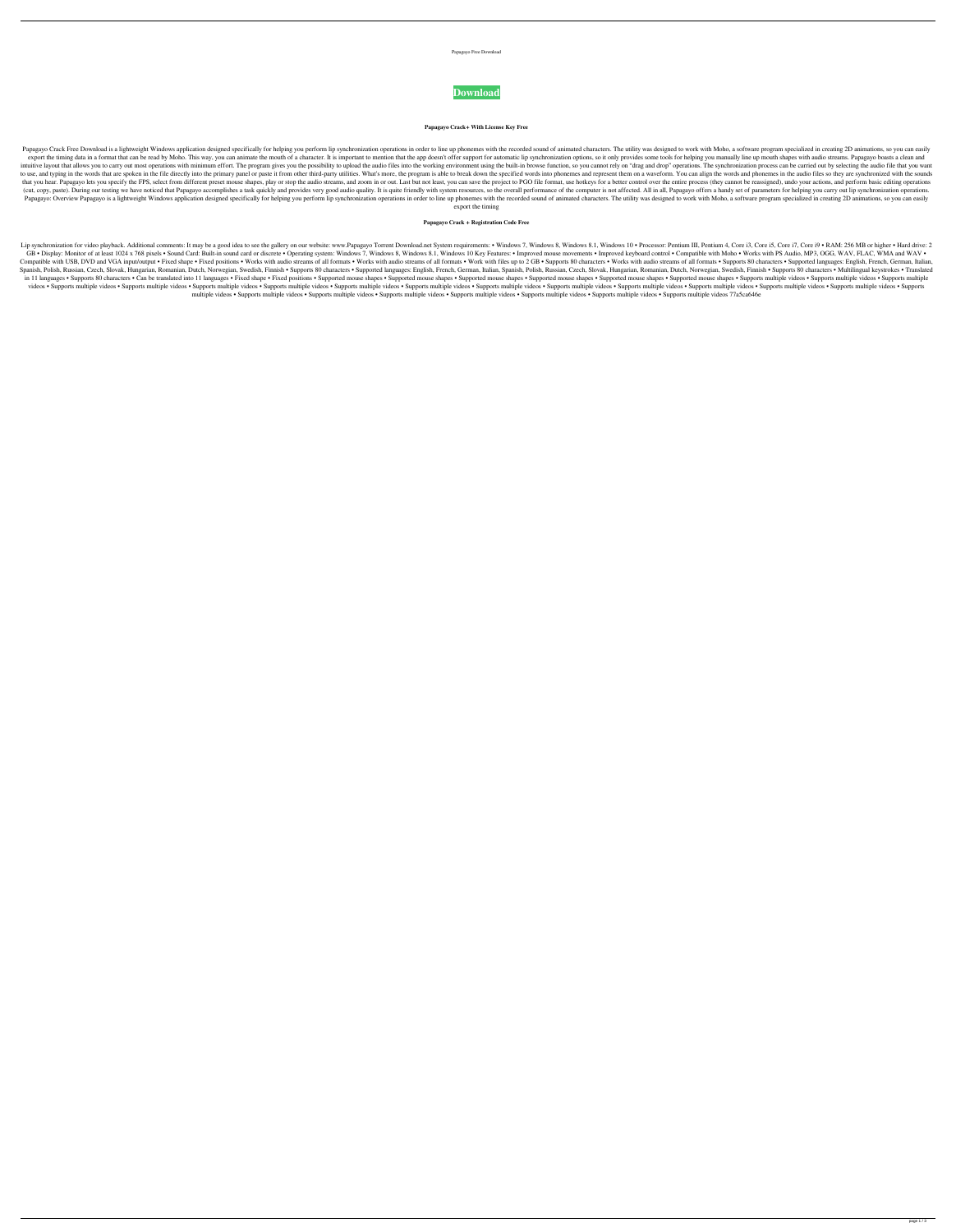Papagayo Free Download



**Papagayo Crack+ With License Key Free**

Papagayo Crack Free Download is a lightweight Windows application designed specifically for helping you perform lip synchronization operations in order to line up phonemes with the recorded sound of animated characters. Th export the timing data in a format that can be read by Moho. This way, you can animate the mouth of a character. It is important to mention that the app doesn't offer support for automatic lip synchronization options, so i intuitive layout that allows you to carry out most operations with minimum effort. The program gives you the possibility to upload the audio files into the working environment using the built-in browse function, so you can to use, and typing in the words that are spoken in the file directly into the primary panel or paste it from other third-party utilities. What's more, the program is able to break down the specified words into phonemes and that you hear. Papagayo lets you specify the FPS, select from different preset mouse shapes, play or stop the audio streams, and zoom in or out. Last but not least, you can save the project to PGO file format, use hotkeys (cut, copy, paste). During our testing we have noticed that Papagayo accomplishes a task quickly and provides very good audio quality. It is quite friendly with system resources, so the overall performance of the computer Papagayo: Overview Papagayo is a lightweight Windows application designed specifically for helping you perform lip synchronization operations in order to line up phonemes with the recorded sound of animated characters. The export the timing

## **Papagayo Crack + Registration Code Free**

Lip synchronization for video playback. Additional comments: It may be a good idea to see the gallery on our website: www.Papagayo Torrent Download.net System requirements: • Windows 8.1, Windows 8.1, Windows 10 • Processo GB • Display: Monitor of at least 1024 x 768 pixels • Sound Card: Built-in sound card or discrete • Operating system: Windows 7, Windows 8, Windows 8.1, Windows 8.1, Windows 8.1, Windows 10 Key Features: • Improved keyboar Compatible with USB, DVD and VGA input/output • Fixed shape • Fixed positions • Works with audio streams of all formats • Works with audio streams of all formats • Works with audio streams of all formats • Works with audio Spanish, Polish, Russian, Czech, Slovak, Hungarian, Romanian, Dutch, Norwegian, Swedish, Finnish . Supports 80 characters . Supported languages: English, French, German, Italian, Spanish, Polish, Russian, Czech, Slovak, Hu in 11 languages • Supports 80 characters • Can be translated into 11 languages • Fixed shape • Fixed shape • Fixed positions • Supported mouse shapes • Supported mouse shapes • Supported mouse shapes • Supported mouse shap videos • Supports multiple videos • Supports multiple videos • Supports multiple videos • Supports multiple videos • Supports multiple videos • Supports multiple videos • Supports multiple videos • Supports multiple videos multiple videos • Supports multiple videos • Supports multiple videos • Supports multiple videos • Supports multiple videos • Supports multiple videos 17a5ca646e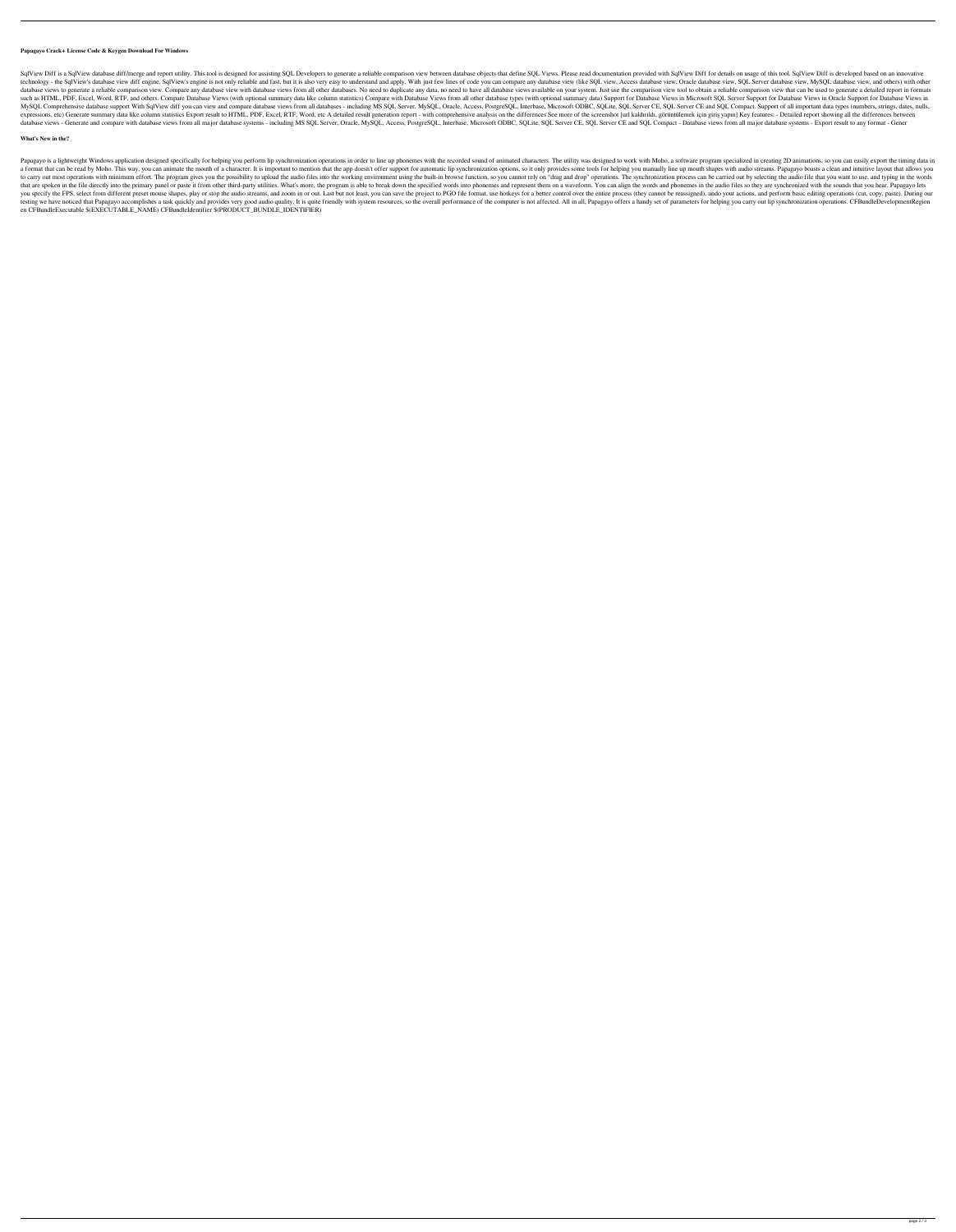## **Papagayo Crack+ License Code & Keygen Download For Windows**

SqlView Diff is a SqlView database diff/merge and report utility. This tool is designed for assisting SQL Developers to generate a reliable comparison view between database objects that define SQL Views. Please read docume technology - the SqlView's database view diff engine. SqlView's engine is not only reliable and fast, but it is also very easy to understand and apply. With just few lines of code you can compare any database view, Oracle database views to generate a reliable comparison view. Compare any database view with database views from all other databases. No need to duplicate any data, no need to have all database views available on your system. Jus such as HTML, PDF, Excel, Word, RTF, and others. Compare Database Views (with optional summary data like column statistics) Compare with Database Views in Microsoft SQL Server Support for Database Views in Oracle Support f MySQL Comprehensive database support With SqlView diff you can view and compare database views from all databases - including MS SQL Server, MySQL, Oracle, Access, PostgreSQL, Interbase, Microsoft ODBC, SQLite, SQL Server expressions, etc) Generate summary data like column statistics Export result to HTML, PDF, Excel, RTF, Word, etc A detailed result generation report - with comprehensive analysis on the differences See more of the screensh database views - Generate and compare with database views from all major database systems - including MS SQL Server, Oracle, MySQL, Access, PostgreSQL, Interbase, Microsoft ODBC, SQL ite, SQL Server CE, SQL Server CE and S

Papagayo is a lightweight Windows application designed specifically for helping you perform lip synchronization operations in order to line up phonemes with the recorded sound of animated characters. The utility was design a format that can be read by Moho. This way, you can animate the mouth of a character. It is important to mention that the app doesn't offer support for automatic lip synchronization options, so it only provides some tools to carry out most operations with minimum effort. The program gives you the possibility to upload the audio files into the working environment using the built-in browse function, so you cannot rely on "drag and drop" opera that are spoken in the file directly into the primary panel or paste it from other third-party utilities. What's more, the program is able to break down the specified words into phonemes and represent them on a waveform. Y you specify the FPS, select from different preset mouse shapes, play or stop the audio streams, and zoom in or out. Last but not least, you can save the project to PGO file format, use hotkeys for a better control over the testing we have noticed that Papagayo accomplishes a task quickly and provides very good audio quality. It is quite friendly with system resources, so the overall performance of the computer is not affected. All in all, Pa en CFBundleExecutable \$(EXECUTABLE\_NAME) CFBundleIdentifier \$(PRODUCT\_BUNDLE\_IDENTIFIER)

## **What's New in the?**